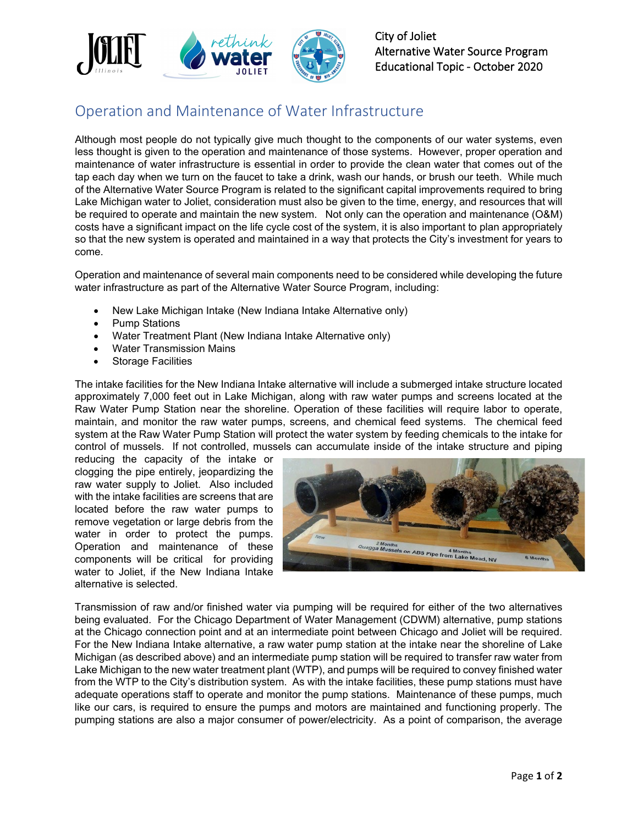

## Operation and Maintenance of Water Infrastructure

Although most people do not typically give much thought to the components of our water systems, even less thought is given to the operation and maintenance of those systems. However, proper operation and maintenance of water infrastructure is essential in order to provide the clean water that comes out of the tap each day when we turn on the faucet to take a drink, wash our hands, or brush our teeth. While much of the Alternative Water Source Program is related to the significant capital improvements required to bring Lake Michigan water to Joliet, consideration must also be given to the time, energy, and resources that will be required to operate and maintain the new system. Not only can the operation and maintenance (O&M) costs have a significant impact on the life cycle cost of the system, it is also important to plan appropriately so that the new system is operated and maintained in a way that protects the City's investment for years to come.

Operation and maintenance of several main components need to be considered while developing the future water infrastructure as part of the Alternative Water Source Program, including:

- New Lake Michigan Intake (New Indiana Intake Alternative only)
- Pump Stations
- Water Treatment Plant (New Indiana Intake Alternative only)
- Water Transmission Mains
- Storage Facilities

The intake facilities for the New Indiana Intake alternative will include a submerged intake structure located approximately 7,000 feet out in Lake Michigan, along with raw water pumps and screens located at the Raw Water Pump Station near the shoreline. Operation of these facilities will require labor to operate, maintain, and monitor the raw water pumps, screens, and chemical feed systems. The chemical feed system at the Raw Water Pump Station will protect the water system by feeding chemicals to the intake for control of mussels. If not controlled, mussels can accumulate inside of the intake structure and piping

reducing the capacity of the intake or clogging the pipe entirely, jeopardizing the raw water supply to Joliet. Also included with the intake facilities are screens that are located before the raw water pumps to remove vegetation or large debris from the water in order to protect the pumps. Operation and maintenance of these components will be critical for providing water to Joliet, if the New Indiana Intake alternative is selected.



Transmission of raw and/or finished water via pumping will be required for either of the two alternatives being evaluated. For the Chicago Department of Water Management (CDWM) alternative, pump stations at the Chicago connection point and at an intermediate point between Chicago and Joliet will be required. For the New Indiana Intake alternative, a raw water pump station at the intake near the shoreline of Lake Michigan (as described above) and an intermediate pump station will be required to transfer raw water from Lake Michigan to the new water treatment plant (WTP), and pumps will be required to convey finished water from the WTP to the City's distribution system. As with the intake facilities, these pump stations must have adequate operations staff to operate and monitor the pump stations. Maintenance of these pumps, much like our cars, is required to ensure the pumps and motors are maintained and functioning properly. The pumping stations are also a major consumer of power/electricity. As a point of comparison, the average